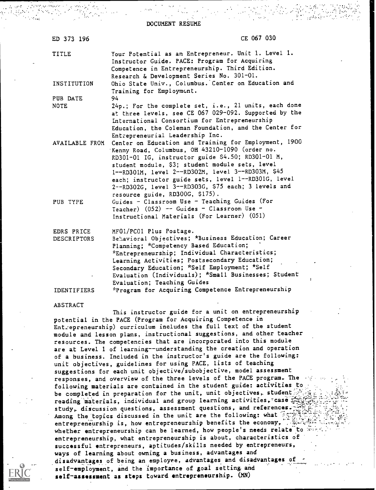DOCUMENT RESUME

| ED 373 196                | CE 067 030                                                                                                                                                                                                                                                                                                                                                                    |
|---------------------------|-------------------------------------------------------------------------------------------------------------------------------------------------------------------------------------------------------------------------------------------------------------------------------------------------------------------------------------------------------------------------------|
| TITLE                     | Your Potential as an Entrepreneur. Unit 1. Level 1.<br>Instructor Guide. PACE: Program for Acquiring<br>Competence in Entrepreneurship. Third Edition.<br>Research & Development Series No. 301-01.                                                                                                                                                                           |
| INSTITUTION               | Ohio State Univ., Columbus. Center on Education and<br>Training for Employment.                                                                                                                                                                                                                                                                                               |
| PUB DATE                  | 94                                                                                                                                                                                                                                                                                                                                                                            |
| <b>NOTE</b>               | 24p.; For the complete set, i.e., 21 units, each done<br>at three levels, see CE 067 029-092. Supported by the<br>International Consortium for Entrepreneurship<br>Education, the Coleman Foundation, and the Center for                                                                                                                                                      |
|                           | Entrepreneurial Leadership Inc.<br>AVAILABLE FROM Center on Education and Training for Employment, 1900<br>Kenny Road, Columbus, OH 43210-1090 (order no.<br>RD301-01 IG, instructor guide \$4.50; RD301-01 M,<br>student module, \$3; student module sets, level<br>1--RD301M, level 2--RD302M, level 3--RD303M, \$45<br>each; instructor guide sets, level 1--RD301G, level |
| PUB TYPE                  | 2--RD302G, level 3--RD303G, \$75 each; 3 levels and<br>resource guide, RD300G, \$175).<br>Guides - Classroom Use - Teaching Guides (For<br>Teacher) $(052)$ -- Guides - Classroom Use -<br>Instructional Materials (For Learner) (051)                                                                                                                                        |
| EDRS PRICE<br>DESCRIPTORS | MFO1/PC01 Plus Postage.<br>Behavioral Objectives; *Business Education; Career<br>Planning; *Competency Based Education;<br>*Entrepreneurship; Individual Characteristics;<br>Learning Activities; Postsecondary Education;                                                                                                                                                    |
|                           | Secondary Education; *Self Employment; *Self<br>Evaluation (Individuals); *Small Businesses; Student<br>T                                                                                                                                                                                                                                                                     |
| <b>IDENTIFIERS</b>        | Evaluation; Teaching Guides<br>*Program for Acquiring Competence Entrepreneurship                                                                                                                                                                                                                                                                                             |
| <b>ABSTRACT</b>           |                                                                                                                                                                                                                                                                                                                                                                               |
|                           | This instructor guide for a unit on entrepreneurship<br>potential in the PACE (Program for Acquiring Competence in                                                                                                                                                                                                                                                            |
|                           | Entrepreneurship) curriculum includes the full text of the student                                                                                                                                                                                                                                                                                                            |

Entrepreneurship) curriculum includes the full text of the student module and lesson plans, instructional suggestions, and other teacher resources. The competencies that are incorporated into this module are at Level 1 of learning--understanding the creation and operation of a business. Included in the instructor's guide are the following: unit objectives, guidelines for using PACE, lists of teaching suggestions for each unit objective/subobjective, model assessment responses, and overview of the three levels of the PACE program. The following materials are contained in the student guide: activities to be completed in preparation for the unit, unit objectives, student reading materials, individual and group learning activities, case  $\frac{1}{2}$ study, discussion questions, assessment questions, and references. Among the topics discussed in the unit are the following: what entrepreneurship is, how entrepreneurship benefits the economy, whether entrepreneurship can be learned, how people's needs relate to  $\bar{x}$ entrepreneurship, what entrepreneurship is about, characteristics of successful entrepreneurs, aptitudes/skills needed by entrepreneurs, ways of learning about owning a business, advantages and disadvantages of being an employee, advantages and disadvantages of self-employment, and the importance of goal setting and self-assessment as steps toward entrepreneurship. (MN)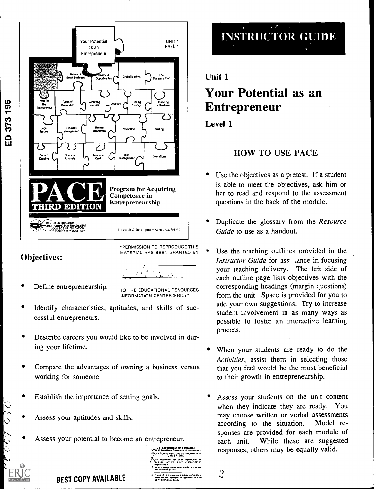

#### Objectives:

ED 373 196

Define entrepreneurship.

TO THE EDUCATIONAL RESOURCES INFORMATION CENTER (ERIC)"

 $\langle\gamma^1\rangle$  or  $\gamma^0$ 

- Identify characteristics, aptitudes, and skills of successful entrepreneurs.
- Describe careers you would like to be involved in during your lifetime.
- Compare the advantages of owning a business versus working for someone.
- Establish the importance of setting goals.
- $\circ$  Assess your aptitudes and skills.
- Assess your potential to become an entrepreneur.



 $\overline{2}$ 

# INSTRUCTOR GUIDE

## Unit 1 Your Potential as an

## Entrepreneur

#### Level 1

## HOW TO USE PACE

- Use the objectives as a pretest. If a student is able to meet the objectives, ask him or her to read and respond to the assessment questions in the back of the module.
- Duplicate the glossary from the Resource Guide to use as a handout.
- Use the teaching outlines provided in the Instructor Guide for ass ance in focusing your teaching delivery. The left side of each outline page lists objectives with the corresponding headings (margin questions) from the unit. Space is provided for you to add your own suggestions. Try to increase student iavolvement in as many ways as possible to foster an interactive learning process.
- When your students are ready to do the Activities, assist them in selecting those that you feel would be the most beneficial to their growth in entrepreneurship.
- Assess your students on the unit content when they indicate they are ready. You may choose written or verbal assessments according to the situation. Model responses are provided for each module of each unit. While these are suggested responses, others may be equally valid.

BEST COPY AVAILABLE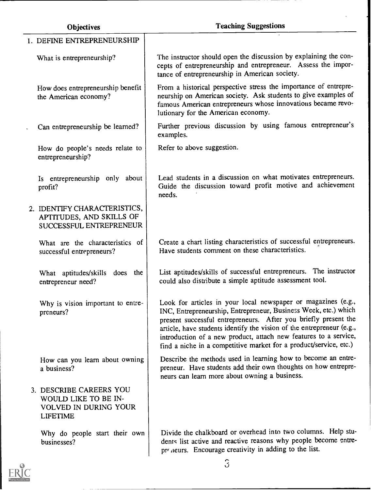| <b>Objectives</b>                                                                           | <b>Teaching Suggestions</b>                                                                                                                                                                                                                                                                                                                                                                                           |
|---------------------------------------------------------------------------------------------|-----------------------------------------------------------------------------------------------------------------------------------------------------------------------------------------------------------------------------------------------------------------------------------------------------------------------------------------------------------------------------------------------------------------------|
| 1. DEFINE ENTREPRENEURSHIP                                                                  |                                                                                                                                                                                                                                                                                                                                                                                                                       |
| What is entrepreneurship?                                                                   | The instructor should open the discussion by explaining the con-<br>cepts of entrepreneurship and entrepreneur. Assess the impor-<br>tance of entrepreneurship in American society.                                                                                                                                                                                                                                   |
| How does entrepreneurship benefit<br>the American economy?                                  | From a historical perspective stress the importance of entrepre-<br>neurship on American society. Ask students to give examples of<br>famous American entrepreneurs whose innovations became revo-<br>lutionary for the American economy.                                                                                                                                                                             |
| Can entrepreneurship be learned?                                                            | Further previous discussion by using famous entrepreneur's<br>examples.                                                                                                                                                                                                                                                                                                                                               |
| How do people's needs relate to<br>entrepreneurship?                                        | Refer to above suggestion.                                                                                                                                                                                                                                                                                                                                                                                            |
| Is entrepreneurship only about<br>profit?                                                   | Lead students in a discussion on what motivates entrepreneurs.<br>Guide the discussion toward profit motive and achievement<br>needs.                                                                                                                                                                                                                                                                                 |
| 2. IDENTIFY CHARACTERISTICS,<br>APTITUDES, AND SKILLS OF<br>SUCCESSFUL ENTREPRENEUR         |                                                                                                                                                                                                                                                                                                                                                                                                                       |
| What are the characteristics of<br>successful entrepreneurs?                                | Create a chart listing characteristics of successful entrepreneurs.<br>Have students comment on these characteristics.                                                                                                                                                                                                                                                                                                |
| What aptitudes/skills does the<br>entrepreneur need?                                        | List aptitudes/skills of successful entrepreneurs. The instructor<br>could also distribute a simple aptitude assessment tool.                                                                                                                                                                                                                                                                                         |
| Why is vision important to entre-<br>preneurs?                                              | Look for articles in your local newspaper or magazines (e.g.,<br>INC, Entrepreneurship, Entrepreneur, Business Week, etc.) which<br>present successful entrepreneurs. After you briefly present the<br>article, have students identify the vision of the entrepreneur (e.g.,<br>introduction of a new product, attach new features to a service,<br>find a niche in a competitive market for a product/service, etc.) |
| How can you learn about owning<br>a business?                                               | Describe the methods used in learning how to become an entre-<br>preneur. Have students add their own thoughts on how entrepre-<br>neurs can learn more about owning a business.                                                                                                                                                                                                                                      |
| 3. DESCRIBE CAREERS YOU<br>WOULD LIKE TO BE IN-<br>VOLVED IN DURING YOUR<br><b>LIFETIME</b> |                                                                                                                                                                                                                                                                                                                                                                                                                       |
| Why do people start their own<br>businesses?                                                | Divide the chalkboard or overhead into two columns. Help stu-<br>dents list active and reactive reasons why people become entre-<br>providents. Encourage creativity in adding to the list.                                                                                                                                                                                                                           |

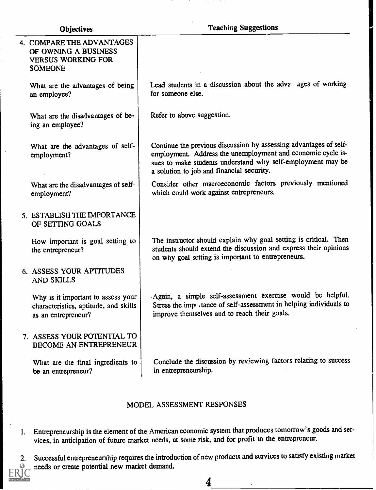| 4. COMPARE THE ADVANTAGES<br>OF OWNING A BUSINESS<br><b>VERSUS WORKING FOR</b><br><b>SOMEONE</b>   |                                                                                                                                                                                                                                              |
|----------------------------------------------------------------------------------------------------|----------------------------------------------------------------------------------------------------------------------------------------------------------------------------------------------------------------------------------------------|
| What are the advantages of being<br>an employee?                                                   | Lead students in a discussion about the adva ages of working<br>for someone else.                                                                                                                                                            |
| What are the disadvantages of be-<br>ing an employee?                                              | Refer to above suggestion.                                                                                                                                                                                                                   |
| What are the advantages of self-<br>employment?                                                    | Continue the previous discussion by assessing advantages of self-<br>employment. Address the unemployment and economic cycle is-<br>sues to make students understand why self-employment may be<br>a solution to job and financial security. |
| What are the disadvantages of self-<br>employment?                                                 | Consider other macroeconomic factors previously mentioned<br>which could work against entrepreneurs.                                                                                                                                         |
| 5. ESTABLISH THE IMPORTANCE<br>OF SETTING GOALS                                                    |                                                                                                                                                                                                                                              |
| How important is goal setting to<br>the entrepreneur?                                              | The instructor should explain why goal setting is critical. Then<br>students should extend the discussion and express their opinions<br>on why goal setting is important to entrepreneurs.                                                   |
| 6. ASSESS YOUR APTITUDES<br><b>AND SKILLS</b>                                                      |                                                                                                                                                                                                                                              |
| Why is it important to assess your<br>characteristics, aptitude, and skills<br>as an entrepreneur? | Again, a simple self-assessment exercise would be helpful.<br>Stress the importance of self-assessment in helping individuals to<br>improve themselves and to reach their goals.                                                             |
| 7. ASSESS YOUR POTENTIAL TO<br>BECOME AN ENTREPRENEUR                                              |                                                                                                                                                                                                                                              |
| What are the final ingredients to<br>be an entrepreneur?                                           | Conclude the discussion by reviewing factors relating to success<br>in entrepreneurship.                                                                                                                                                     |
|                                                                                                    |                                                                                                                                                                                                                                              |

#### MODEL ASSESSMENT RESPONSES

- 1. Entrepreneurship is the element of the American economic system that produces tomorrow's goods and services, in anticipation of future market needs, at some risk, and for profit to the entrepreneur.
- 2. Successful entrepreneurship requires the introduction of new products and services to satisfy existing market needs or create potential new market demand.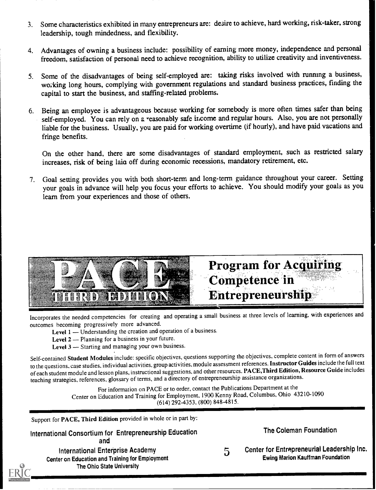- 3. Some characteristics exhibited in many entrepreneurs are: desire to achieve, hardworking, risk-taker, strong leadership, tough mindedness, and flexibility.
- 4. Advantages of owning a business include: possibility of earning more money, independence and personal freedom, satisfaction of personal need to achieve recognition, ability to utilize creativity and inventiveness.
- 5. Some of the disadvantages of being self-employed are: taking risks involved with running a business, working long hours, complying with government regulations and standard business practices, finding the capital to start the business, and staffing-related problems.
- 6. Being an employee is advantageous because working for somebody is more often times safer than being self-employed. You can rely on a reasonably safe income and regular hours. Also, you are not personally liable for the business. Usually, you are paid for working overtime (if hourly), and have paid vacations and fringe benefits.

On the other hand, there are some disadvantages of standard employment, such as restricted salary increases, risk of being lain off during economic recessions, mandatory retirement, etc.

7. Goal setting provides you with both short-term and long-term guidance throughout your career. Setting your goals in advance will help you focus your efforts to achieve. You should modify your goals as you learn from your experiences and those of others.



Incorporates the needed competencies for creating and operating a small business at three levels of learning, with experiences and outcomes becoming progressively more advanced.

Level 1 — Understanding the creation and operation of a business.

- Level 2 Planning for a business in your future.
- Level  $3$  Starting and managing your own business.

Self-contained Student Modules include: specific objectives, questions supporting the objectives, complete content in form of answers to the questions. case studies, individual activities, group activities, module assessment references. Instructor Guides include the full text of each student module and lesson plans, instructional suggestions, and other resources. PACE,Third Edition, Resource Guide includes teaching strategies, references, glossary of terms, and a directory of entrepreneurship assistance organizations.

For information on PACE or to order, contact the Publications Department at the Center on Education and Training for Employment, 1900 Kenny Road, Columbus, Ohio 43210-1090 (614) 292-4353, (800) 8484815.

Support for PACE, Third Edition provided in whole or in part by:

International Consortium for Entrepreneurship Education and International Enterprise Academy Center on Education and Training 'for Employment The Ohio State University

The Coleman Foundation

5 Center for Entrepreneurial Leadership Inc. Ewing Marion Kauffman Foundation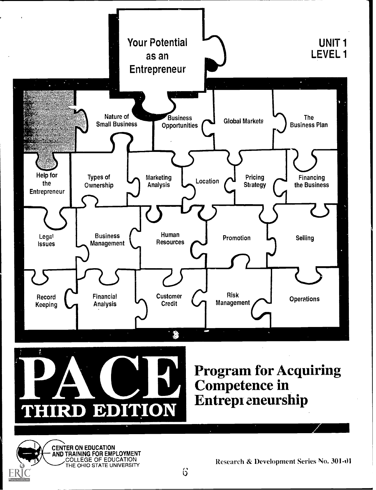



Program for Acquiring Competence in Entrepi eneurship



Research & Development Series No. 301-01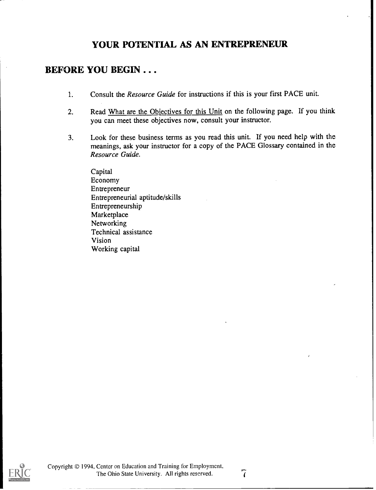## YOUR POTENTIAL AS AN ENTREPRENEUR

#### BEFORE YOU BEGIN . . .

- 1. Consult the *Resource Guide* for instructions if this is your first PACE unit.
- 2. Read What are the Objectives for this Unit on the following page. If you think you can meet these objectives now, consult your instructor.
- 3. Look for these business terms as you read this unit. If you need help with the meanings, ask your instructor for a copy of the PACE Glossary contained in theResource Guide.

Capital Economy Entrepreneur Entrepreneurial aptitude/skills Entrepreneurship Marketplace Networking Technical assistance Vision Working capital

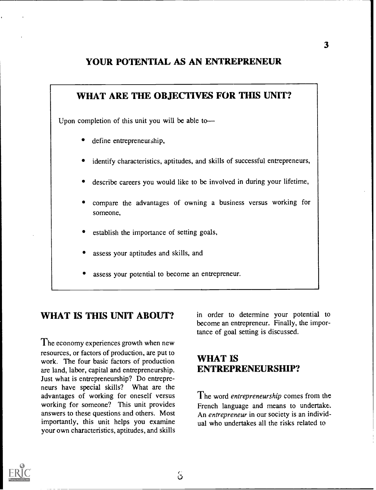#### YOUR POTENTIAL. AS AN ENTREPRENEUR



## WHAT IS THIS UNIT ABOUT?

The economy experiences growth when new resources, or factors of production, are put to work. The four basic factors of production are land, labor, capital and entrepreneurship. Just what is entrepreneurship? Do entrepreneurs have special skills? What are the advantages of working for oneself versus working for someone? This unit provides answers to these questions and others. Most importantly, this unit helps you examine your own characteristics, aptitudes, and skills in order to determine your potential to become an entrepreneur. Finally, the importance of goal setting is discussed.

## WHAT IS ENTREPRENEURSHIP?

The word *entrepreneurship* comes from the French language and means to undertake. An entrepreneur in our society is an individual who undertakes all the risks related to

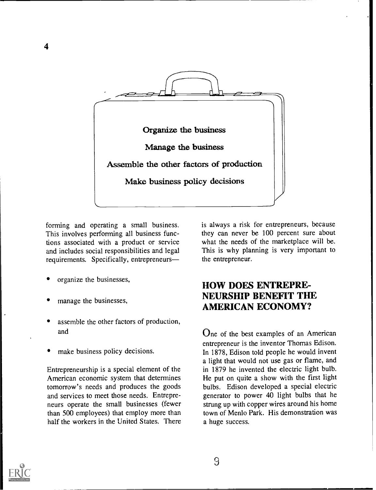

forming and operating a small business. This involves performing all business functions associated with a product or service and includes social responsibilities and legal requirements. Specifically, entrepreneurs

organize the businesses,

4

- manage the businesses,
- assemble the other factors of production, and
- make business policy decisions.

Entrepreneurship is a special element of the American economic system that determines tomorrow's needs and produces the goods and services to meet those needs. Entrepreneurs operate the small businesses (fewer than 500 employees) that employ more than half the workers in the United States. There is always a risk for entrepreneurs, because they can never be 100 percent sure about what the needs of the marketplace will be. This is why planning is very important to the entrepreneur.

#### HOW DOES ENTREPRE-NEURSHIP BENEFIT THE AMERICAN ECONOMY?

One of the best examples of an American entrepreneur is the inventor Thomas Edison. In 1878, Edison told people he would invent a light that would not use gas or flame, and in 1879 he invented the electric light bulb. He put on quite a show with the first light bulbs. Edison developed a special electric generator to power 40 light bulbs that he strung up with copper wires around his home town of Menlo Park. His demonstration was a huge success.

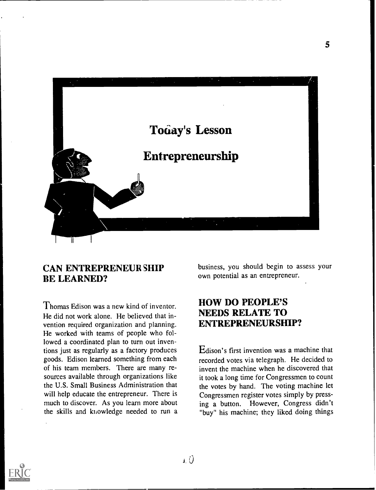

#### CAN ENTREPRENEUR SHIP BE LEARNED?

Thomas Edison was a new kind of inventor. He did not work alone. He believed that invention required organization and planning. He worked with teams of people who followed a coordinated plan to turn out inventions just as regularly as a factory produces goods. Edison learned something from each of his team members. There are many resources available through organizations like the U.S. Small Business Administration that will help educate the entrepreneur. There is much to discover. As you learn more about the skills and knowledge needed to run a business, you should begin to assess your own potential as an entrepreneur.

5

#### HOW DO PEOPLE'S NEEDS RELATE TO ENTREPRENEURSHIP?

Edison's first invention was a machine that recorded votes via telegraph. He decided to invent the machine when he discovered that it took a long time for Congressmen to count the votes by hand. The voting machine let Congressmen register votes simply by pressing a button. However, Congress didn't "buy" his machine; they liked doing things

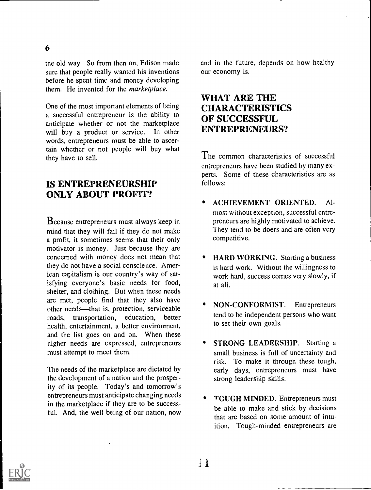the old way. So from then on, Edison made sure that people really wanted his inventions before he spent time and money developing them. He invented for the *marketplace*.

One of the most important elements of being a successful entrepreneur is the ability to anticipate whether or not the marketplace will buy a product or service. In other words, entrepreneurs must be able to ascertain whether or not people will buy what they have to sell.

#### IS ENTREPRENEURSHIP ONLY ABOUT PROFIT?

Because entrepreneurs must always keep in mind that they will fail if they do not make a profit, it sometimes seems that their only motivator is money. Just because they are concerned with money does not mean that they do not have a social conscience. American capitalism is our country's way of satisfying everyone's basic needs for food, shelter, and clothing. But when these needs are met, people find that they also have other needs—that is, protection, serviceable roads, transportation, education, better health, entertainment, a better environment, and the list goes on and on. When these higher needs are expressed, entrepreneurs must attempt to meet them.

The needs of the marketplace are dictated by the development of a nation and the prosperity of its people. Today's and tomorrow's entrepreneurs must anticipate changing needs in the marketplace if they are to be successful. And, the well being of our nation, now

and in the future, depends on how healthy our economy is.

#### WHAT ARE THE CHARACTERISTICS OF SUCCESSFUL. ENTREPRENEURS?

The common characteristics of successful entrepreneurs have been studied by many experts. Some of these characteristics are as follows:

- ACHIEVEMENT ORIENTED. Almost without exception, successful entrepreneurs are highly motivated to achieve. They tend to be doers and are often very competitive.
- HARD WORKING. Starting a business is hard work. Without the willingness to work hard, success comes very slowly, if at all.
- NON-CONFORMIST. Entrepreneurs tend to be independent persons who want to set their own goals.
- STRONG LEADERSHIP. Starting a small business is full of uncertainty and risk. To make it through these tough, early days, entrepreneurs must have strong leadership skills.
- TOUGH MINDED. Entrepreneurs must be able to make and stick by decisions that are based on some amount of intuition. Tough-minded entrepreneurs are

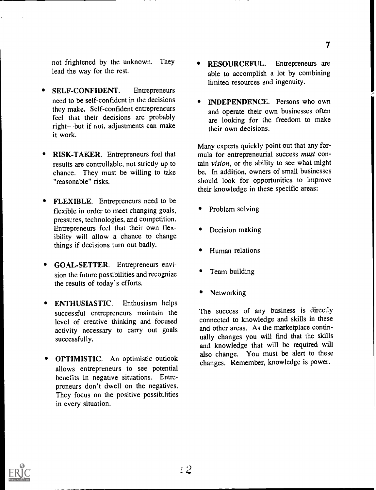not frightened by the unknown. They lead the way for the rest.

- SELF-CONFIDENT. Entrepreneurs need to be self-confident in the decisions they make. Self-confident entrepreneurs feel that their decisions are probably right-but if not, adjustments can make it work.
- RISK-TAKER. Entrepreneurs feel that results are controllable, not strictly up to chance. They must be willing to take "reasonable" risks.
- FLEXIBLE. Entrepreneurs need to be  $\bullet$ flexible in order to meet changing goals, pressures, technologies, and competition. Entrepreneurs feel that their own flexibility will allow a chance to change things if decisions turn out badly.
- GOAL-SETTER. Entrepreneurs envision the future possibilities and recognize the results of today's efforts.
- ENTHUSIASTIC. Enthusiasm helps successful entrepreneurs maintain the level of creative thinking and focused activity necessary to carry out goals successfully.
- OPTIMISTIC. An optimistic outlook allows entrepreneurs to see potential benefits in negative situations. Entrepreneurs don't dwell on the negatives. They focus on the positive possibilities in every situation.
- RESOURCEFUL. Entrepreneurs are able to accomplish a lot by combining limited resources and ingenuity.
- INDEPENDENCE. Persons who own and operate their own businesses often are looking for the freedom to make their own decisions.

Many experts quickly point out that any formula for entrepreneurial success must contain vision, or the ability to see what might be. In addition, owners of small businesses should look for opportunities to improve their knowledge in these specific areas:

- Problem solving
- Decision making
- Human relations
- Team building
- Networking

The success of any business is directly connected to knowledge and skills in these and other areas. As the marketplace continually changes you will find that the skills and knowledge that will be required will also change. You must be alert to these changes. Remember, knowledge is power.

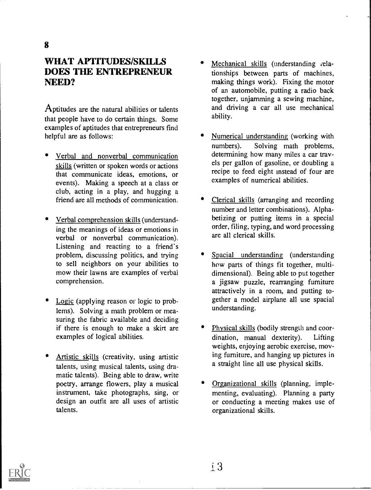#### WHAT APTITUDES/SKILLS DOES THE ENTREPRENEUR NEED?

Aptitudes are the natural abilities or talents that people have to do certain things. Some examples of aptitudes that entrepreneurs find helpful are as follows:

- Verbal and nonverbal communication skills (written or spoken words or actions that communicate ideas, emotions, or events). Making a speech at a class or club, acting in a play, and hugging a friend are all methods of communication.
- Verbal comprehension skills (understanding the meanings of ideas or emotions in verbal or nonverbal communication). Listening and reacting to a friend's problem, discussing politics, and trying to sell neighbors on your abilities to mow their lawns are examples of verbal comprehension.
- Logic (applying reason or logic to problems). Solving a math problem or measuring the fabric available and deciding if there is enough to make a skirt are examples of logical abilities.
- Artistic skills (creativity, using artistic talents, using musical talents, using dramatic talents). Being able to draw, write poetry, arrange flowers, play a musical instrument, take photographs, sing, or design an outfit are all uses of artistic talents.
- Mechanical skills (understanding relationships between parts of machines, making things work). Fixing the motor of an automobile, putting a radio back together, unjamming a sewing machine, and driving a car all use mechanical ability.
- Numerical understanding (working with numbers). Solving math problems, determining how many miles a car travels per gallon of gasoline, or doubling a recipe to feed eight instead of four are examples of numerical abilities.
- Clerical skills (arranging and recording number and letter combinations). Alphabetizing or putting items in a special order, filing, typing, and word processing are all clerical skills.
- Spacial understanding (understanding how parts of things fit together, multidimensional). Being able to put together a jigsaw puzzle, rearranging furniture attractively in a room, and putting together a model airplane all use spacial understanding.
- Physical skills (bodily strength and coordination, manual dexterity). Lifting weights, enjoying aerobic exercise, moving furniture, and hanging up pictures in a straight line all use physical skills.
- Organizational skills (planning, implementing, evaluating). Planning a party or conducting a meeting makes use of organizational skills.

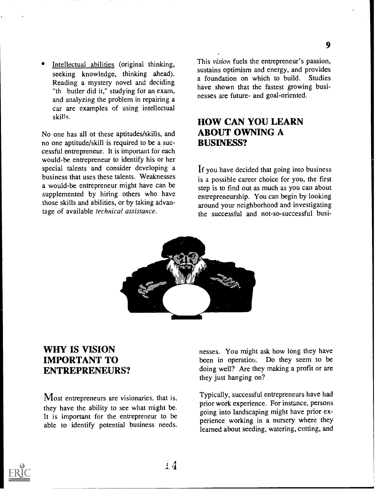Intellectual abilities (original thinking, seeking knowledge, thinking ahead). Reading a mystery novel and deciding "th butler did it," studying for an exam, and analyzing the problem in repairing a car are examples of using intellectual skills.

No one has all of these aptitudes/skills, and no one aptitude/skill is required to be a successful entrepreneur. It is important for each would-be entrepreneur to identify his or her special talents and consider developing a business that uses these talents. Weaknesses a would-be entrepreneur might have can be supplemented by hiring others who have those skills and abilities, or by taking advantage of available technical assistance.

This vision fuels the entrepreneur's passion, sustains optimism and energy, and provides a foundation on which to build. Studies have shown that the fastest growing businesses are future- and goal-oriented.

#### HOW CAN YOU LEARN ABOUT OWNING A BUSINESS?

If you have decided that going into business is a possible career choice for you, the first step is to find out as much as you can about entrepreneurship. You can begin by looking around your neighborhood and investigating the successful and not-so-successful busi-



#### WHY IS VISION IMPORTANT TO ENTREPRENEURS?

Most entrepreneurs are visionaries, that is, they have the ability to see what might be. It is important for the entrepreneur to be able to identify potential business needs. nesses. You might ask how long they have been in operation. Do they seem to be doing well? Are they making a profit or are they just hanging on?

Typically, successful entrepreneurs have had prior work experience. For instance, persons going into landscaping might have prior experience working in a nursery where they learned about seeding, watering, cutting, and

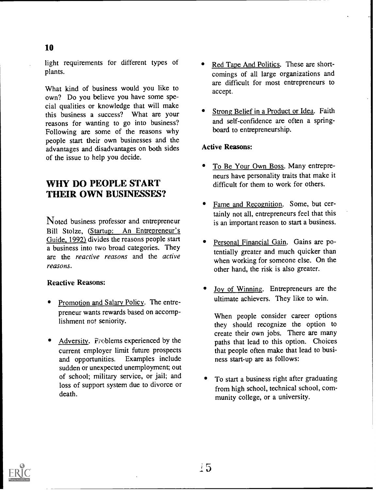light requirements for different types of plants.

What kind of business would you like to own? Do you believe you have some special qualities or knowledge that will make this business a success? What are your reasons for wanting to go into business? Following are some of the reasons why people start their own businesses and the advantages and disadvantages on both sides of the issue to help you decide.

## WHY DO PEOPLE START THEIR OWN BUSINESSES?

Noted business professor and entrepreneur Bill Stolze, (Startup: An Entrepreneur's Guide, 1992) divides the reasons people start a business into two broad categories. They are the reactive reasons and the active reasons.

#### Reactive Reasons:

- Promotion and Salary Policy. The entrepreneur wants rewards based on accomplishment not seniority.
- Adversity. Problems experienced by the current employer limit future prospects<br>and opportunities. Examples include Examples include sudden or unexpected unemployment; out of school; military service, or jail; and loss of support system due to divorce or death.
- Red Tape And Politics. These are shortcomings of all large organizations and are difficult for most entrepreneurs to accept.
- Strong Belief in a Product or Idea. Faith and self-confidence are often a springboard to entrepreneurship.

#### Active Reasons:

- To Be Your Own Boss. Many entrepreneurs have personality traits that make it difficult for them to work for others.
- Fame and Recognition. Some, but certainly not all, entrepreneurs feel that this is an important reason to start a business.
- Personal Financial Gain. Gains are potentially greater and much quicker than when working for someone else. On the other hand, the risk is also greater.
- Joy of Winning. Entrepreneurs are the ultimate achievers. They like to win.

When people consider career options they should recognize the option to create their own jobs. There are many paths that lead to this option. Choices that people often make that lead to business start-up are as follows:

To start a business right after graduating from high school, technical school, community college, or a university.



10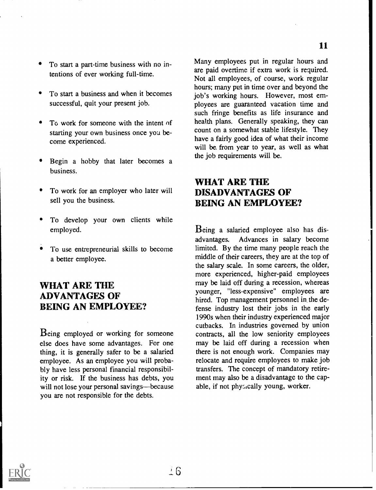- To start a part-time business with no intentions of ever working full-time.
- To start a business and when it becomes successful, quit your present job.
- To work for someone with the intent of starting your own business once you become experienced.
- Begin a hobby that later becomes a business.
- To work for an employer who later will sell you the business.
- To develop your own clients while employed.
- To use entrepreneurial skills to become a better employee.

#### WHAT ARE THE ADVANTAGES OF BEING AN EMPLOYEE?

Being employed or working for someone else does have some advantages. For one thing, it is generally safer to be a salaried employee. As an employee you will probably have less personal financial responsibility or risk. If the business has debts, you will not lose your personal savings—because you are not responsible for the debts.

Many employees put in regular hours and are paid overtime if extra work is required. Not all employees, of course, work regular hours; many put in time over and beyond the job's working hours. However, most employees are guaranteed vacation time and such fringe benefits as life insurance and health plans. Generally speaking, they can count on a somewhat stable lifestyle. They have a fairly good idea of what their income will be, from year to year, as well as what the job requirements will be.

#### WHAT ARE THE DISADVANTAGES OF BEING AN EMPLOYEE?

Being a salaried employee also has disadvantages. Advances in salary become limited. By the time many people reach the middle of their careers, they are at the top of the salary scale. In some careers, the older, more experienced, higher-paid employees may be laid off during a recession, whereas younger, "less-expensive" employees are hired. Top management personnel in the defense industry lost their jobs in the early 1990s when their industry experienced major cutbacks. In industries governed by union contracts, all the low seniority employees may be laid off during a recession when there is not enough work. Companies may relocate and require employees to make job transfers. The concept of mandatory retirement may also be a disadvantage to the capable, if not phy<sub>2</sub>, cally young, worker.

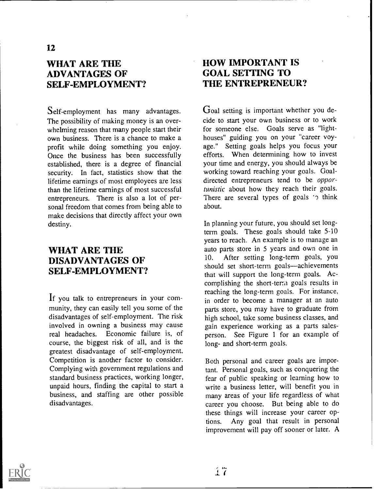## WHAT ARE THE ADVANTAGES OF SELF-EMPLOYMENT?

Self-employment has many advantages. The possibility of making money is an overwhelming reason that many people start their own business. There is a chance to make a profit while doing something you enjoy. Once the business has been successfully established, there is a degree of financial security. In fact, statistics show that the lifetime earnings of most employees are less than the lifetime earnings of most successful entrepreneurs. There is also a lot of personal freedom that comes from being able to make decisions that directly affect your own destiny.

#### WHAT ARE THE DISADVANTAGES OF SELF-EMPLOYMENT?

If you talk to entrepreneurs in your community, they can easily tell you some of the disadvantages of self-employment. The risk involved in owning a business may cause real headaches. Economic failure is, of course, the biggest risk of all, and is the greatest disadvantage of self-employment. Competition is another factor to consider. Complying with government regulations and standard business practices, working longer, unpaid hours, finding the capital to start a business, and staffing are other possible disadvantages.

### HOW IMPORTANT IS GOAL SETTING TO THE ENTREPRENEUR?

Goal setting is important whether you decide to start your own business or to work for someone else. Goals serve as "lighthouses" guiding you on your "career voyage." Setting goals helps you focus your efforts. When determining how to invest your time and energy, you should always be working toward reaching your goals. Goaldirected entrepreneurs tend to be opportunistic about how they reach their goals. There are several types of goals  $\gamma$  think about.

In planning your future, you should set longterm goals. These goals should take 5-10 years to reach. An example is to manage an auto parts store in 5 years and own one in 10. After setting long-term goals, you should set short-term goals—achievements that will support the long-term goals. Accomplishing the short-terra goals results in reaching the long-term goals. For instance, in order to become a manager at an auto parts store, you may have to graduate from high school, take some business classes, and gain experience working as a parts salesperson. See Figure 1 for an example of long- and short-term goals.

Both personal and career goals are important. Personal goals, such as conquering the fear of public speaking or learning how to write a business letter, will benefit you in many areas of your life regardless of what career you choose. But being able to do these things will increase your career options. Any goal that result in personal improvement will pay off sooner or later. A

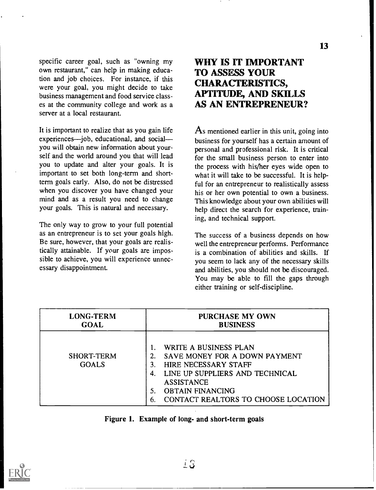specific career goal, such as "owning my own restaurant," can help in making education and job choices. For instance, if this were your goal, you might decide to take business management and food service classes at the community college and work as a server at a local restaurant.

It is important to realize that as you gain life experiences—job, educational, and social you will obtain new information about yourself and the world around you that will lead you to update and alter your goals. It is important to set both long-term and shortterm goals early. Also, do not be distressed when you discover you have changed your mind and as a result you need to change your goals. This is natural and necessary.

The only way to grow to your full potential as an entrepreneur is to set your goals high. Be sure, however, that your goals are realistically attainable. If your goals are impossible to achieve, you will experience unnecessary disappointment.

## WHY IS IT IMPORTANT TO ASSESS YOUR CHARACTERISTICS, APTITUDE, AND SKILLS AS AN ENTREPRENEUR?

As mentioned earlier in this unit, going into business for yourself has a certain amount of personal and professional risk. It is critical for the small business person to enter into the process with his/her eyes wide open to what it will take to be successful. It is helpful for an entrepreneur to realistically assess his or her own potential to own a business. This knowledge about your own abilities will help direct the search for experience, training, and technical support.

The success of a business depends on how well the entrepreneur performs. Performance is a combination of abilities and skills. If you seem to lack any of the necessary skills and abilities, you should not be discouraged. You may be able to fill the gaps through either training or self-discipline.

| <b>LONG-TERM</b>           | <b>PURCHASE MY OWN</b>                                                                                                                                                                                               |  |
|----------------------------|----------------------------------------------------------------------------------------------------------------------------------------------------------------------------------------------------------------------|--|
| <b>GOAL</b>                | <b>BUSINESS</b>                                                                                                                                                                                                      |  |
| SHORT-TERM<br><b>GOALS</b> | WRITE A BUSINESS PLAN<br>SAVE MONEY FOR A DOWN PAYMENT<br>2.<br>HIRE NECESSARY STAFF<br>LINE UP SUPPLIERS AND TECHNICAL<br>4.<br><b>ASSISTANCE</b><br><b>OBTAIN FINANCING</b><br>CONTACT REALTORS TO CHOOSE LOCATION |  |

|  | Figure 1. Example of long- and short-term goals |  |  |  |  |
|--|-------------------------------------------------|--|--|--|--|
|--|-------------------------------------------------|--|--|--|--|

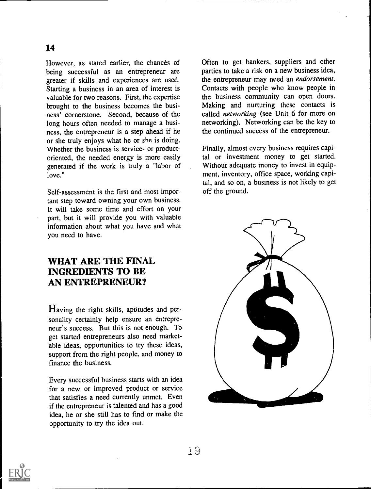However, as stated earlier, the chances of being successful as an entrepreneur are greater if skills and experiences are used. Starting a business in an area of interest is valuable for two reasons. First, the expertise brought to the business becomes the business' cornerstone. Second, because of the long hours often needed to manage a business, the entrepreneur is a step ahead if he or she truly enjoys what he or she is doing. Whether the business is service- or productoriented, the needed energy is more easily generated if the work is truly a "labor of love."

Self-assessment is the first and most important step toward owning your own business. It will take some time and effort on your part, but it will provide you with valuable information about what you have and what you need to have.

#### WHAT ARE THE FINAL INGREDIENTS TO BE AN ENTREPRENEUR?

Having the right skills, aptitudes and personality certainly help ensure an entrepreneur's success. But this is not enough. To get started entrepreneurs also need marketable ideas, opportunities to try these ideas, support from the right people, and money to finance the business.

Every successful business starts with an idea for a new or improved product or service that satisfies a need currently unmet. Even if the entrepreneur is talented and has a good idea, he or she still has to find or make the opportunity to try the idea out.

Often to get bankers, suppliers and other parties to take a risk on a new business idea, the entrepreneur may need an endorsement. Contacts with people who know people in the business community can open doors. Making and nurturing these contacts is called networking (see Unit 6 for more on networking). Networking can be the key to the continued success of the entrepreneur.

Finally, almost every business requires capital or investment money to get started. Without adequate money to invest in equipment, inventory, office space, working capital, and so on, a business is not likely to get off the ground.





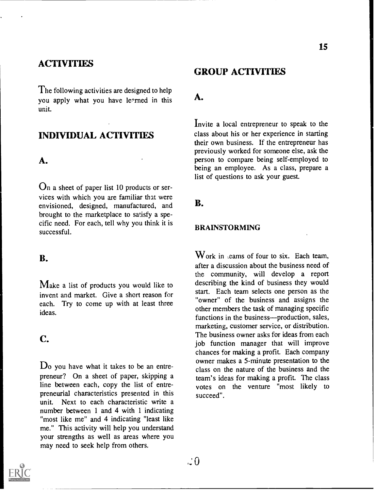#### **ACTIVITIES**

The following activities are designed to help you apply what you have le<sup>o</sup>rned in this unit.

## INDIVIDUAL ACTIVITIES

#### A.

 $\Omega$ n a sheet of paper list 10 products or services with which you are familiar that were envisioned, designed, manufactured, and brought to the marketplace to satisfy a specific need. For each, tell why you think it is successful.

#### B.

Make a list of products you would like to invent and market. Give a short reason for each. Try to come up with at least three ideas.

## C.

 $\mathbf{D}_0$  you have what it takes to be an entrepreneur? On a sheet of paper, skipping a line between each, copy the list of entrepreneurial characteristics presented in this unit. Next to each characteristic write a number between 1 and 4 with 1 indicating "most like me" and 4 indicating "least like me." This activity will help you understand your strengths as well as areas where you may need to seek help from others.

#### GROUP ACTIVITIES

#### A.

Invite a local entrepreneur to speak to the class about his or her experience in starting their own business. If the entrepreneur has previously worked for someone else, ask the person to compare being self-employed to being an employee. As a class, prepare a list of questions to ask your guest.

#### B.

#### BRAINSTORMING

 $W$ ork in learns of four to six. Each team, after a discussion about the business need of the community, will develop a report describing the kind of business they would start. Each team selects one person as the "owner" of the business and assigns the other members the task of managing specific functions in the business—production, sales, marketing, customer service, or distribution. The business owner asks for ideas from each job function manager that will improve chances for making a profit. Each company owner makes a 5-minute presentation to the class on the nature of the business and the team's ideas for making a profit. The class votes on the venture "most likely to succeed".

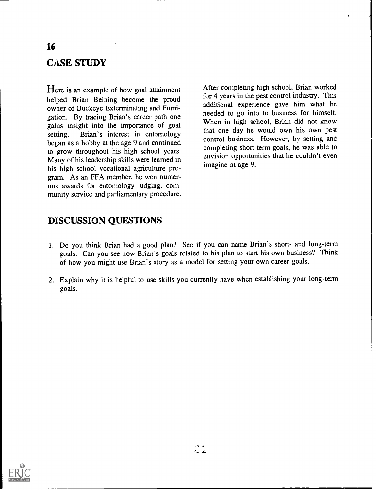## CASE STUDY

16

Here is an example of how goal attainment helped Brian Beining become the proud owner of Buckeye Exterminating and Fumigation. By tracing Brian's career path one gains insight into the importance of goal setting. Brian's interest in entomology began as a hobby at the age 9 and continued to grow throughout his high school years. Many of his leadership skills were learned in his high school vocational agriculture program. As an FFA member, he won numerous awards for entomology judging, community service and parliamentary procedure.

After completing high school, Brian worked for 4 years in the pest control industry. This additional experience gave him what he needed to go into to business for himself. When in high school, Brian did not know that one day he would own his own pest control business. However, by setting and completing short-term goals, he was able to envision opportunities that he couldn't even imagine at age 9.

#### DISCUSSION QUESTIONS

- 1. Do you think Brian had a good plan? See if you can name Brian's short- and long-term goals. Can you see how Brian's goals related to his plan to start his own business? Think of how you might use Brian's story as a model for setting your own career goals.
- 2. Explain why it is helpful to use skills you currently have when establishing your long-term goals.

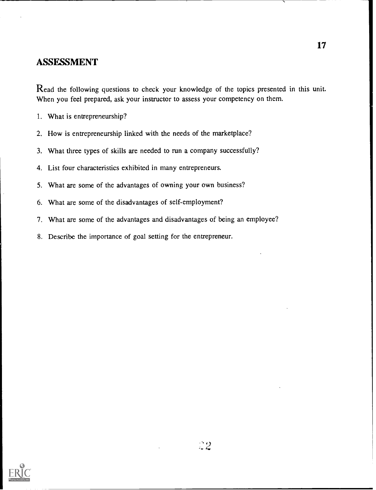#### ASSESSMENT

Read the following questions to check your knowledge of the topics presented in this unit. When you feel prepared, ask your instructor to assess your competency on them.

- 1. What is entrepreneurship?
- 2. How is entrepreneurship linked with the needs of the marketplace?
- 3. What three types of skills are needed to run a company successfully?
- 4. List four characteristics exhibited in many entrepreneurs.
- 5. What are some of the advantages of owning your own business?
- 6. What are some of the disadvantages of self-employment?
- 7. What are some of the advantages and disadvantages of being an employee?
- 8. Describe the importance of goal setting for the entrepreneur.

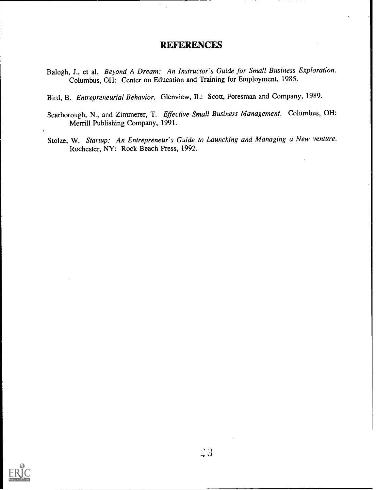#### **REFERENCES**

 $\mathbf{r}$ 

- Balogh, J., et al. Beyond A Dream: An Instructor's Guide for Small Business Exploration. Columbus, OH: Center on Education and Training for Employment, 1985.
- Bird, B. Entrepreneurial Behavior. Glenview, IL: Scott, Foresman and Company, 1989.
- Scarborough, N., and Zimmerer, T. Effective Small Business Management. Columbus, OH: Merrill Publishing Company, 1991.
- Stolze, W. Startup: An Entrepreneur's Guide to Launching and Managing a New venture. Rochester, NY: Rock Beach Press, 1992.